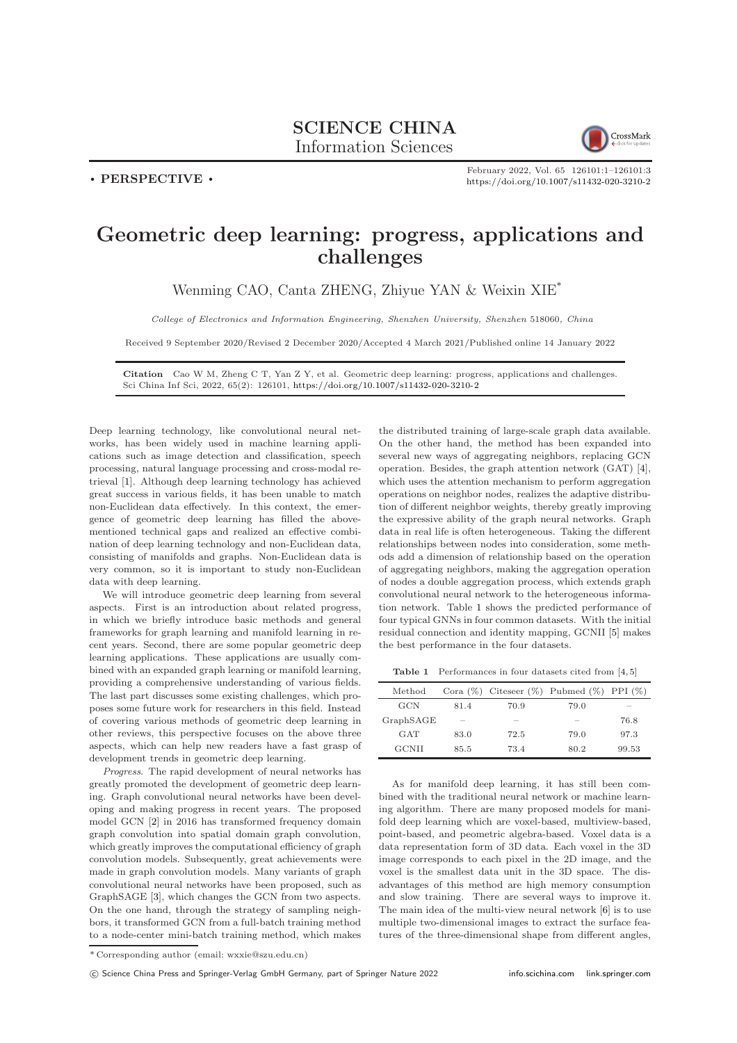## SCIENCE CHINA Information Sciences



. PERSPECTIVE .

February 2022, Vol. 65 126101:1–126101[:3](#page-2-0) <https://doi.org/10.1007/s11432-020-3210-2>

## Geometric deep learning: progress, applications and challenges

Wenming CAO, Canta ZHENG, Zhiyue YAN & Weixin XIE\*

College of Electronics and Information Engineering, Shenzhen University, Shenzhen 518060, China

Received 9 September 2020/Revised 2 December 2020/Accepted 4 March 2021/Published online 14 January 2022

Citation Cao W M, Zheng C T, Yan Z Y, et al. Geometric deep learning: progress, applications and challenges. Sci China Inf Sci, 2022, 65(2): 126101, <https://doi.org/10.1007/s11432-020-3210-2>

Deep learning technology, like convolutional neural networks, has been widely used in machine learning applications such as image detection and classification, speech processing, natural language processing and cross-modal retrieval [\[1\]](#page-2-1). Although deep learning technology has achieved great success in various fields, it has been unable to match non-Euclidean data effectively. In this context, the emergence of geometric deep learning has filled the abovementioned technical gaps and realized an effective combination of deep learning technology and non-Euclidean data, consisting of manifolds and graphs. Non-Euclidean data is very common, so it is important to study non-Euclidean data with deep learning.

We will introduce geometric deep learning from several aspects. First is an introduction about related progress, in which we briefly introduce basic methods and general frameworks for graph learning and manifold learning in recent years. Second, there are some popular geometric deep learning applications. These applications are usually combined with an expanded graph learning or manifold learning, providing a comprehensive understanding of various fields. The last part discusses some existing challenges, which proposes some future work for researchers in this field. Instead of covering various methods of geometric deep learning in other reviews, this perspective focuses on the above three aspects, which can help new readers have a fast grasp of development trends in geometric deep learning.

Progress. The rapid development of neural networks has greatly promoted the development of geometric deep learning. Graph convolutional neural networks have been developing and making progress in recent years. The proposed model GCN [\[2\]](#page-2-2) in 2016 has transformed frequency domain graph convolution into spatial domain graph convolution, which greatly improves the computational efficiency of graph convolution models. Subsequently, great achievements were made in graph convolution models. Many variants of graph convolutional neural networks have been proposed, such as GraphSAGE [\[3\]](#page-2-3), which changes the GCN from two aspects. On the one hand, through the strategy of sampling neighbors, it transformed GCN from a full-batch training method to a node-center mini-batch training method, which makes

the distributed training of large-scale graph data available. On the other hand, the method has been expanded into several new ways of aggregating neighbors, replacing GCN operation. Besides, the graph attention network (GAT) [\[4\]](#page-2-4), which uses the attention mechanism to perform aggregation operations on neighbor nodes, realizes the adaptive distribution of different neighbor weights, thereby greatly improving the expressive ability of the graph neural networks. Graph data in real life is often heterogeneous. Taking the different relationships between nodes into consideration, some methods add a dimension of relationship based on the operation of aggregating neighbors, making the aggregation operation of nodes a double aggregation process, which extends graph convolutional neural network to the heterogeneous information network. Table [1](#page-0-0) shows the predicted performance of four typical GNNs in four common datasets. With the initial residual connection and identity mapping, GCNII [\[5\]](#page-2-5) makes the best performance in the four datasets.

<span id="page-0-0"></span>Table 1 Performances in four datasets cited from [\[4,](#page-2-4) [5\]](#page-2-5)

| Method     |        |                          | Cora $(\%)$ Citeseer $(\%)$ Pubmed $(\%)$ PPI $(\%)$ |        |
|------------|--------|--------------------------|------------------------------------------------------|--------|
| <b>GCN</b> | 81.4   | 70.9                     | 79.0                                                 | $\sim$ |
| GraphSAGE  | $\sim$ | $\overline{\phantom{a}}$ | $\sim$                                               | 76.8   |
| <b>GAT</b> | 83.0   | 72.5                     | 79.0                                                 | 97.3   |
| GCNII      | 85.5   | 73.4                     | 80.2                                                 | 99.53  |

As for manifold deep learning, it has still been combined with the traditional neural network or machine learning algorithm. There are many proposed models for manifold deep learning which are voxel-based, multiview-based, point-based, and peometric algebra-based. Voxel data is a data representation form of 3D data. Each voxel in the 3D image corresponds to each pixel in the 2D image, and the voxel is the smallest data unit in the 3D space. The disadvantages of this method are high memory consumption and slow training. There are several ways to improve it. The main idea of the multi-view neural network [\[6\]](#page-2-6) is to use multiple two-dimensional images to extract the surface features of the three-dimensional shape from different angles,

<sup>\*</sup> Corresponding author (email: wxxie@szu.edu.cn)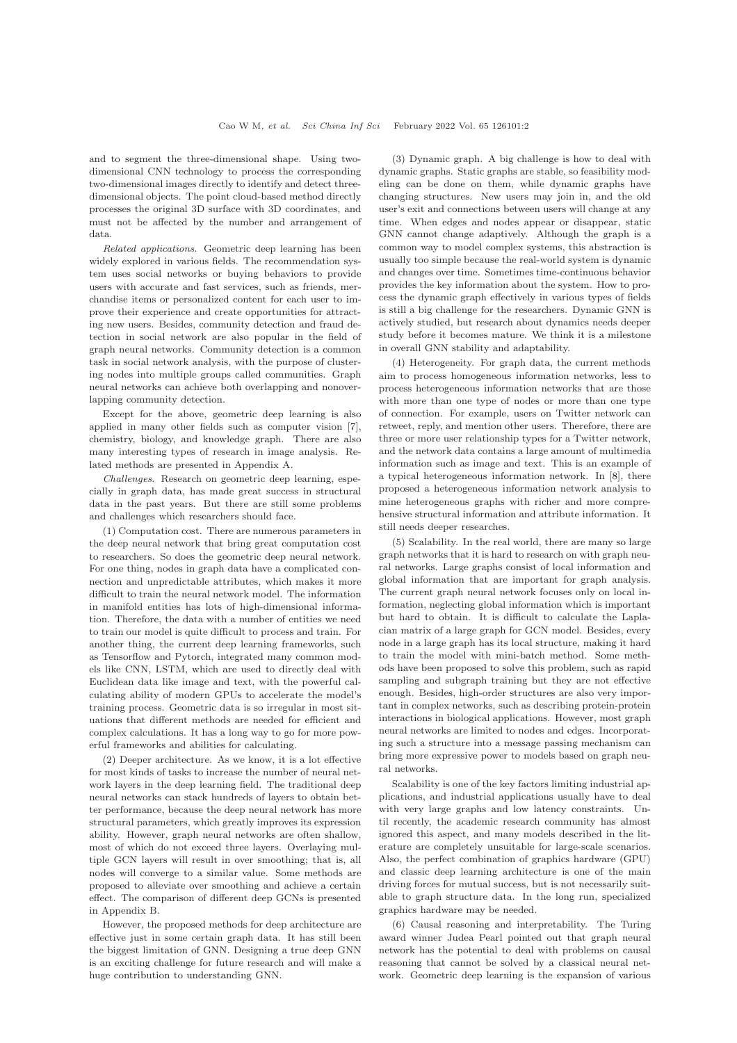and to segment the three-dimensional shape. Using twodimensional CNN technology to process the corresponding two-dimensional images directly to identify and detect threedimensional objects. The point cloud-based method directly processes the original 3D surface with 3D coordinates, and must not be affected by the number and arrangement of data.

Related applications. Geometric deep learning has been widely explored in various fields. The recommendation system uses social networks or buying behaviors to provide users with accurate and fast services, such as friends, merchandise items or personalized content for each user to improve their experience and create opportunities for attracting new users. Besides, community detection and fraud detection in social network are also popular in the field of graph neural networks. Community detection is a common task in social network analysis, with the purpose of clustering nodes into multiple groups called communities. Graph neural networks can achieve both overlapping and nonoverlapping community detection.

Except for the above, geometric deep learning is also applied in many other fields such as computer vision [\[7\]](#page-2-7), chemistry, biology, and knowledge graph. There are also many interesting types of research in image analysis. Related methods are presented in Appendix A.

Challenges. Research on geometric deep learning, especially in graph data, has made great success in structural data in the past years. But there are still some problems and challenges which researchers should face.

(1) Computation cost. There are numerous parameters in the deep neural network that bring great computation cost to researchers. So does the geometric deep neural network. For one thing, nodes in graph data have a complicated connection and unpredictable attributes, which makes it more difficult to train the neural network model. The information in manifold entities has lots of high-dimensional information. Therefore, the data with a number of entities we need to train our model is quite difficult to process and train. For another thing, the current deep learning frameworks, such as Tensorflow and Pytorch, integrated many common models like CNN, LSTM, which are used to directly deal with Euclidean data like image and text, with the powerful calculating ability of modern GPUs to accelerate the model's training process. Geometric data is so irregular in most situations that different methods are needed for efficient and complex calculations. It has a long way to go for more powerful frameworks and abilities for calculating.

(2) Deeper architecture. As we know, it is a lot effective for most kinds of tasks to increase the number of neural network layers in the deep learning field. The traditional deep neural networks can stack hundreds of layers to obtain better performance, because the deep neural network has more structural parameters, which greatly improves its expression ability. However, graph neural networks are often shallow, most of which do not exceed three layers. Overlaying multiple GCN layers will result in over smoothing; that is, all nodes will converge to a similar value. Some methods are proposed to alleviate over smoothing and achieve a certain effect. The comparison of different deep GCNs is presented in Appendix B.

However, the proposed methods for deep architecture are effective just in some certain graph data. It has still been the biggest limitation of GNN. Designing a true deep GNN is an exciting challenge for future research and will make a huge contribution to understanding GNN.

(3) Dynamic graph. A big challenge is how to deal with dynamic graphs. Static graphs are stable, so feasibility modeling can be done on them, while dynamic graphs have changing structures. New users may join in, and the old user's exit and connections between users will change at any time. When edges and nodes appear or disappear, static GNN cannot change adaptively. Although the graph is a common way to model complex systems, this abstraction is usually too simple because the real-world system is dynamic and changes over time. Sometimes time-continuous behavior provides the key information about the system. How to process the dynamic graph effectively in various types of fields is still a big challenge for the researchers. Dynamic GNN is actively studied, but research about dynamics needs deeper study before it becomes mature. We think it is a milestone in overall GNN stability and adaptability.

(4) Heterogeneity. For graph data, the current methods aim to process homogeneous information networks, less to process heterogeneous information networks that are those with more than one type of nodes or more than one type of connection. For example, users on Twitter network can retweet, reply, and mention other users. Therefore, there are three or more user relationship types for a Twitter network, and the network data contains a large amount of multimedia information such as image and text. This is an example of a typical heterogeneous information network. In [\[8\]](#page-2-8), there proposed a heterogeneous information network analysis to mine heterogeneous graphs with richer and more comprehensive structural information and attribute information. It still needs deeper researches.

(5) Scalability. In the real world, there are many so large graph networks that it is hard to research on with graph neural networks. Large graphs consist of local information and global information that are important for graph analysis. The current graph neural network focuses only on local information, neglecting global information which is important but hard to obtain. It is difficult to calculate the Laplacian matrix of a large graph for GCN model. Besides, every node in a large graph has its local structure, making it hard to train the model with mini-batch method. Some methods have been proposed to solve this problem, such as rapid sampling and subgraph training but they are not effective enough. Besides, high-order structures are also very important in complex networks, such as describing protein-protein interactions in biological applications. However, most graph neural networks are limited to nodes and edges. Incorporating such a structure into a message passing mechanism can bring more expressive power to models based on graph neural networks.

Scalability is one of the key factors limiting industrial applications, and industrial applications usually have to deal with very large graphs and low latency constraints. Until recently, the academic research community has almost ignored this aspect, and many models described in the literature are completely unsuitable for large-scale scenarios. Also, the perfect combination of graphics hardware (GPU) and classic deep learning architecture is one of the main driving forces for mutual success, but is not necessarily suitable to graph structure data. In the long run, specialized graphics hardware may be needed.

(6) Causal reasoning and interpretability. The Turing award winner Judea Pearl pointed out that graph neural network has the potential to deal with problems on causal reasoning that cannot be solved by a classical neural network. Geometric deep learning is the expansion of various